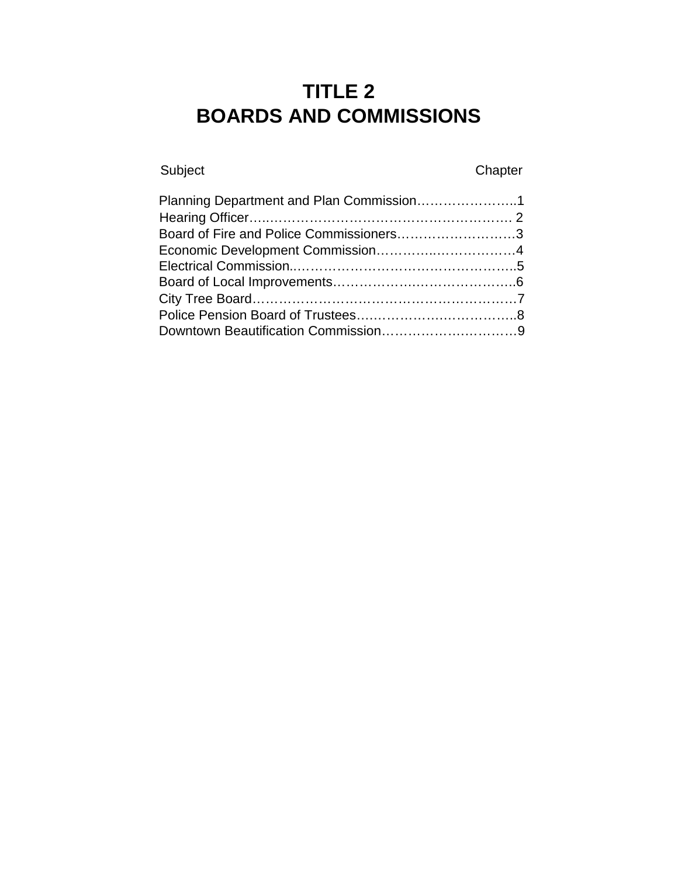# **TITLE 2 BOARDS AND COMMISSIONS**

Subject Chapter

| Planning Department and Plan Commission1 |  |
|------------------------------------------|--|
|                                          |  |
| Board of Fire and Police Commissioners3  |  |
|                                          |  |
|                                          |  |
|                                          |  |
|                                          |  |
|                                          |  |
|                                          |  |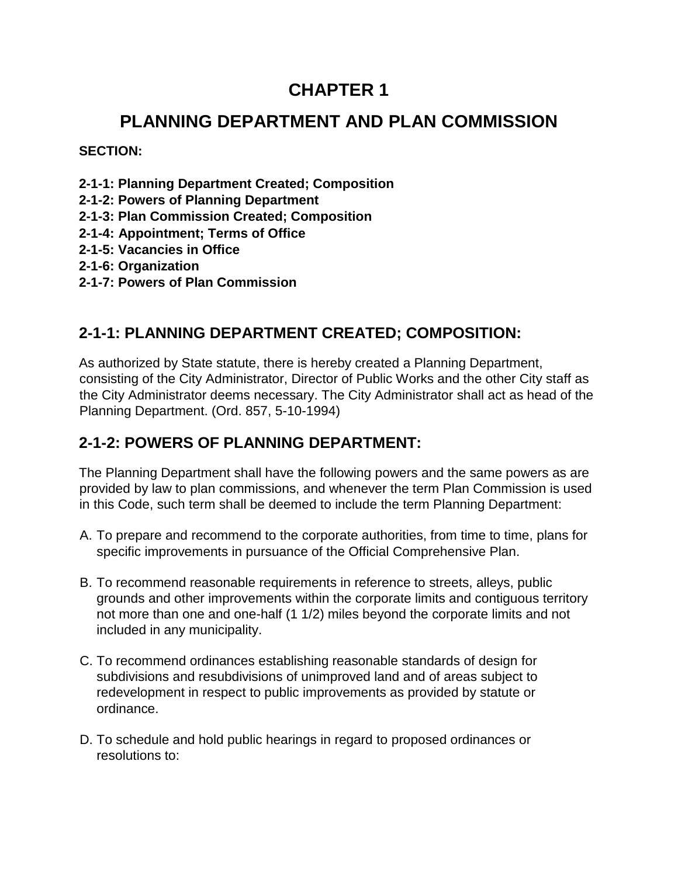# **PLANNING DEPARTMENT AND PLAN COMMISSION**

**SECTION:** 

- **2-1-1: Planning Department Created; Composition**
- **2-1-2: Powers of Planning Department**
- **2-1-3: Plan Commission Created; Composition**
- **2-1-4: Appointment; Terms of Office**
- **2-1-5: Vacancies in Office**
- **2-1-6: Organization**
- **2-1-7: Powers of Plan Commission**

### **2-1-1: PLANNING DEPARTMENT CREATED; COMPOSITION:**

As authorized by State statute, there is hereby created a Planning Department, consisting of the City Administrator, Director of Public Works and the other City staff as the City Administrator deems necessary. The City Administrator shall act as head of the Planning Department. (Ord. 857, 5-10-1994)

### **2-1-2: POWERS OF PLANNING DEPARTMENT:**

The Planning Department shall have the following powers and the same powers as are provided by law to plan commissions, and whenever the term Plan Commission is used in this Code, such term shall be deemed to include the term Planning Department:

- A. To prepare and recommend to the corporate authorities, from time to time, plans for specific improvements in pursuance of the Official Comprehensive Plan.
- B. To recommend reasonable requirements in reference to streets, alleys, public grounds and other improvements within the corporate limits and contiguous territory not more than one and one-half (1 1/2) miles beyond the corporate limits and not included in any municipality.
- C. To recommend ordinances establishing reasonable standards of design for subdivisions and resubdivisions of unimproved land and of areas subject to redevelopment in respect to public improvements as provided by statute or ordinance.
- D. To schedule and hold public hearings in regard to proposed ordinances or resolutions to: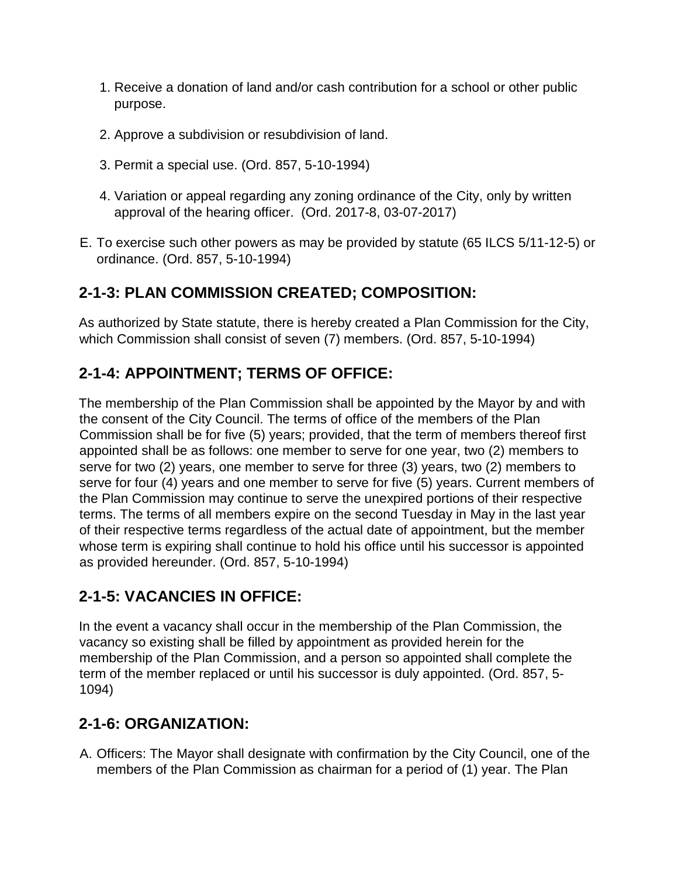- 1. Receive a donation of land and/or cash contribution for a school or other public purpose.
- 2. Approve a subdivision or resubdivision of land.
- 3. Permit a special use. (Ord. 857, 5-10-1994)
- 4. Variation or appeal regarding any zoning ordinance of the City, only by written approval of the hearing officer. (Ord. 2017-8, 03-07-2017)
- E. To exercise such other powers as may be provided by statute (65 ILCS 5/11-12-5) or ordinance. (Ord. 857, 5-10-1994)

### **2-1-3: PLAN COMMISSION CREATED; COMPOSITION:**

As authorized by State statute, there is hereby created a Plan Commission for the City, which Commission shall consist of seven (7) members. (Ord. 857, 5-10-1994)

# **2-1-4: APPOINTMENT; TERMS OF OFFICE:**

The membership of the Plan Commission shall be appointed by the Mayor by and with the consent of the City Council. The terms of office of the members of the Plan Commission shall be for five (5) years; provided, that the term of members thereof first appointed shall be as follows: one member to serve for one year, two (2) members to serve for two (2) years, one member to serve for three (3) years, two (2) members to serve for four (4) years and one member to serve for five (5) years. Current members of the Plan Commission may continue to serve the unexpired portions of their respective terms. The terms of all members expire on the second Tuesday in May in the last year of their respective terms regardless of the actual date of appointment, but the member whose term is expiring shall continue to hold his office until his successor is appointed as provided hereunder. (Ord. 857, 5-10-1994)

### **2-1-5: VACANCIES IN OFFICE:**

In the event a vacancy shall occur in the membership of the Plan Commission, the vacancy so existing shall be filled by appointment as provided herein for the membership of the Plan Commission, and a person so appointed shall complete the term of the member replaced or until his successor is duly appointed. (Ord. 857, 5- 1094)

### **2-1-6: ORGANIZATION:**

A. Officers: The Mayor shall designate with confirmation by the City Council, one of the members of the Plan Commission as chairman for a period of (1) year. The Plan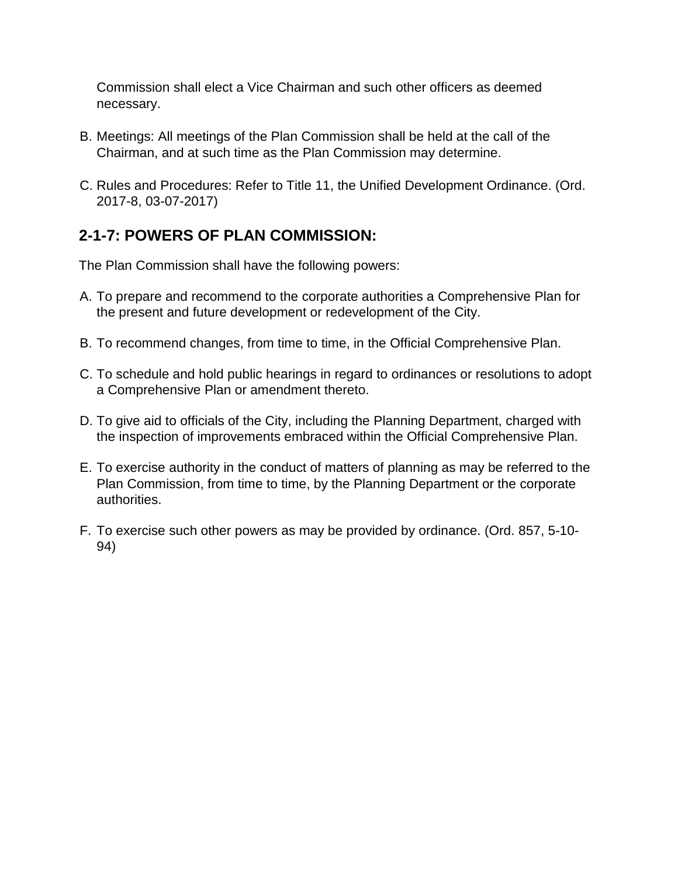Commission shall elect a Vice Chairman and such other officers as deemed necessary.

- B. Meetings: All meetings of the Plan Commission shall be held at the call of the Chairman, and at such time as the Plan Commission may determine.
- C. Rules and Procedures: Refer to Title 11, the Unified Development Ordinance. (Ord. 2017-8, 03-07-2017)

# **2-1-7: POWERS OF PLAN COMMISSION:**

The Plan Commission shall have the following powers:

- A. To prepare and recommend to the corporate authorities a Comprehensive Plan for the present and future development or redevelopment of the City.
- B. To recommend changes, from time to time, in the Official Comprehensive Plan.
- C. To schedule and hold public hearings in regard to ordinances or resolutions to adopt a Comprehensive Plan or amendment thereto.
- D. To give aid to officials of the City, including the Planning Department, charged with the inspection of improvements embraced within the Official Comprehensive Plan.
- E. To exercise authority in the conduct of matters of planning as may be referred to the Plan Commission, from time to time, by the Planning Department or the corporate authorities.
- F. To exercise such other powers as may be provided by ordinance. (Ord. 857, 5-10- 94)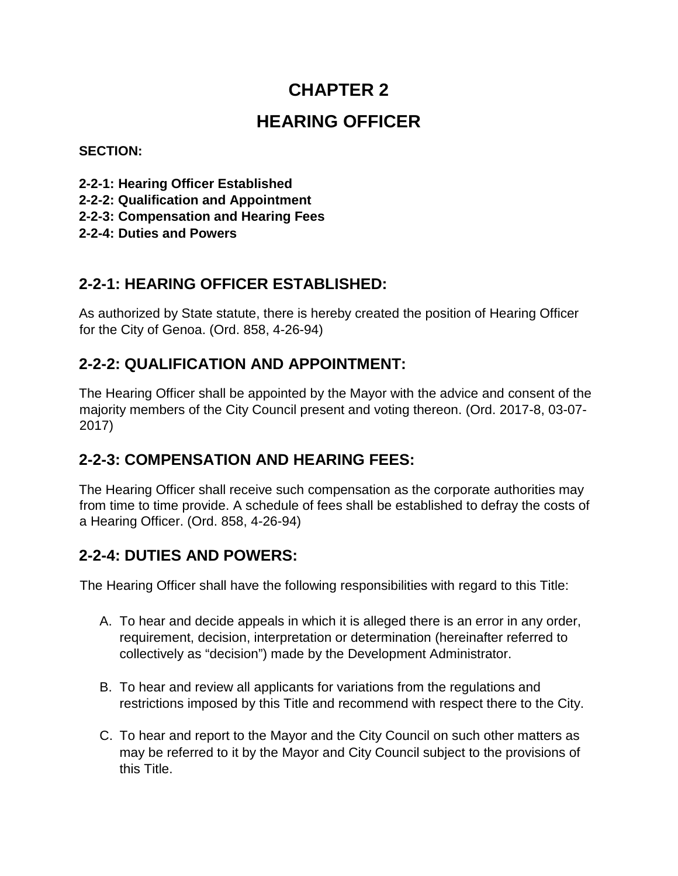# **HEARING OFFICER**

### **SECTION:**

- **2-2-1: Hearing Officer Established**
- **2-2-2: Qualification and Appointment**
- **2-2-3: Compensation and Hearing Fees**
- **2-2-4: Duties and Powers**

### **2-2-1: HEARING OFFICER ESTABLISHED:**

As authorized by State statute, there is hereby created the position of Hearing Officer for the City of Genoa. (Ord. 858, 4-26-94)

### **2-2-2: QUALIFICATION AND APPOINTMENT:**

The Hearing Officer shall be appointed by the Mayor with the advice and consent of the majority members of the City Council present and voting thereon. (Ord. 2017-8, 03-07- 2017)

### **2-2-3: COMPENSATION AND HEARING FEES:**

The Hearing Officer shall receive such compensation as the corporate authorities may from time to time provide. A schedule of fees shall be established to defray the costs of a Hearing Officer. (Ord. 858, 4-26-94)

# **2-2-4: DUTIES AND POWERS:**

The Hearing Officer shall have the following responsibilities with regard to this Title:

- A. To hear and decide appeals in which it is alleged there is an error in any order, requirement, decision, interpretation or determination (hereinafter referred to collectively as "decision") made by the Development Administrator.
- B. To hear and review all applicants for variations from the regulations and restrictions imposed by this Title and recommend with respect there to the City.
- C. To hear and report to the Mayor and the City Council on such other matters as may be referred to it by the Mayor and City Council subject to the provisions of this Title.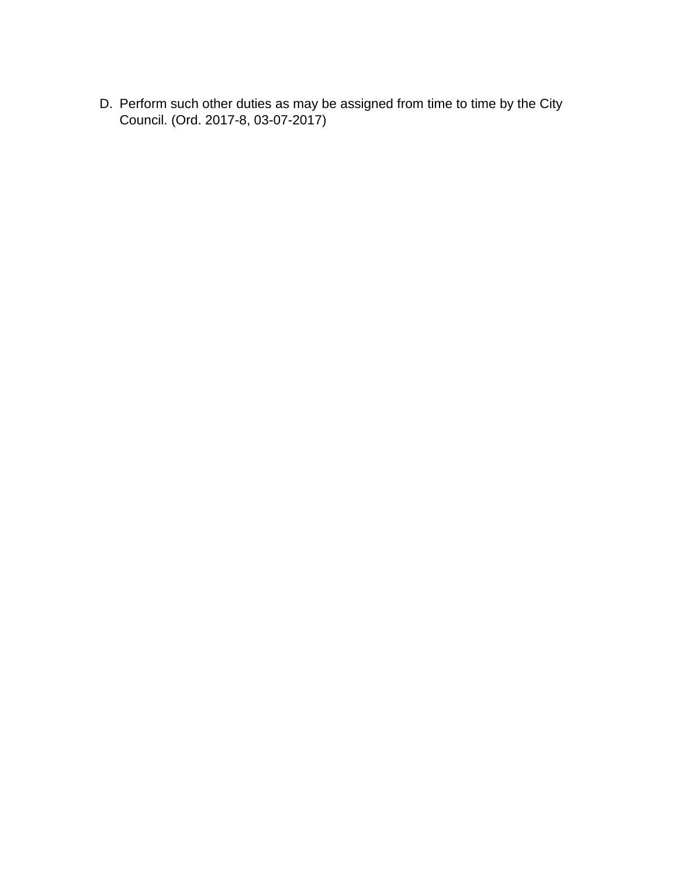D. Perform such other duties as may be assigned from time to time by the City Council. (Ord. 2017-8, 03-07-2017)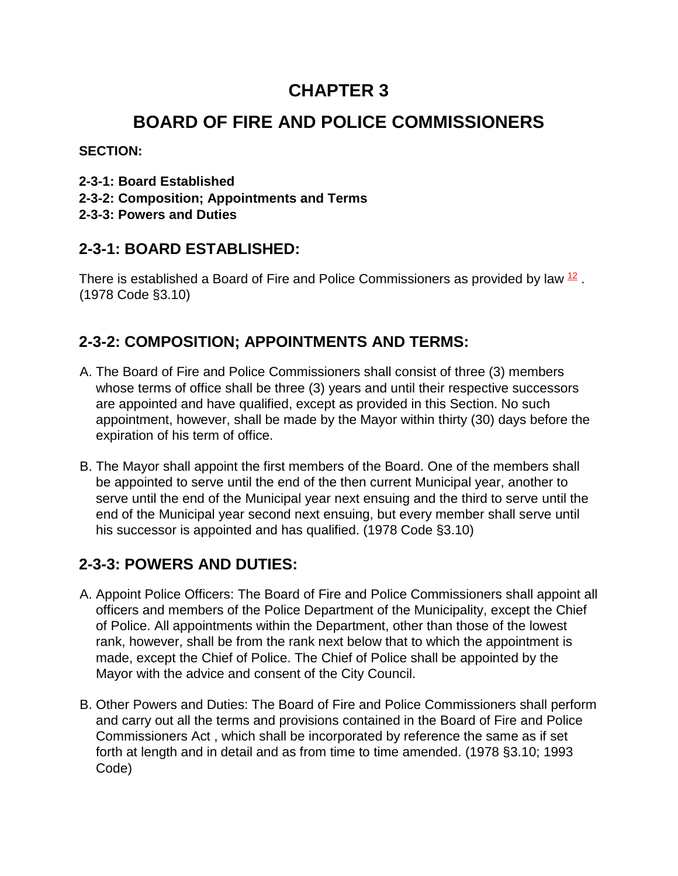# **BOARD OF FIRE AND POLICE COMMISSIONERS**

**SECTION:** 

- **2-3-1: Board Established**
- **2-3-2: Composition; Appointments and Terms**
- **2-3-3: Powers and Duties**

### **2-3-1: BOARD ESTABLISHED:**

There is established a Board of Fire and Police Commissioners as provided by law  $12$ . (1978 Code §3.10)

# **2-3-2: COMPOSITION; APPOINTMENTS AND TERMS:**

- A. The Board of Fire and Police Commissioners shall consist of three (3) members whose terms of office shall be three (3) years and until their respective successors are appointed and have qualified, except as provided in this Section. No such appointment, however, shall be made by the Mayor within thirty (30) days before the expiration of his term of office.
- B. The Mayor shall appoint the first members of the Board. One of the members shall be appointed to serve until the end of the then current Municipal year, another to serve until the end of the Municipal year next ensuing and the third to serve until the end of the Municipal year second next ensuing, but every member shall serve until his successor is appointed and has qualified. (1978 Code §3.10)

# **2-3-3: POWERS AND DUTIES:**

- A. Appoint Police Officers: The Board of Fire and Police Commissioners shall appoint all officers and members of the Police Department of the Municipality, except the Chief of Police. All appointments within the Department, other than those of the lowest rank, however, shall be from the rank next below that to which the appointment is made, except the Chief of Police. The Chief of Police shall be appointed by the Mayor with the advice and consent of the City Council.
- B. Other Powers and Duties: The Board of Fire and Police Commissioners shall perform and carry out all the terms and provisions contained in the Board of Fire and Police Commissioners Act , which shall be incorporated by reference the same as if set forth at length and in detail and as from time to time amended. (1978 §3.10; 1993 Code)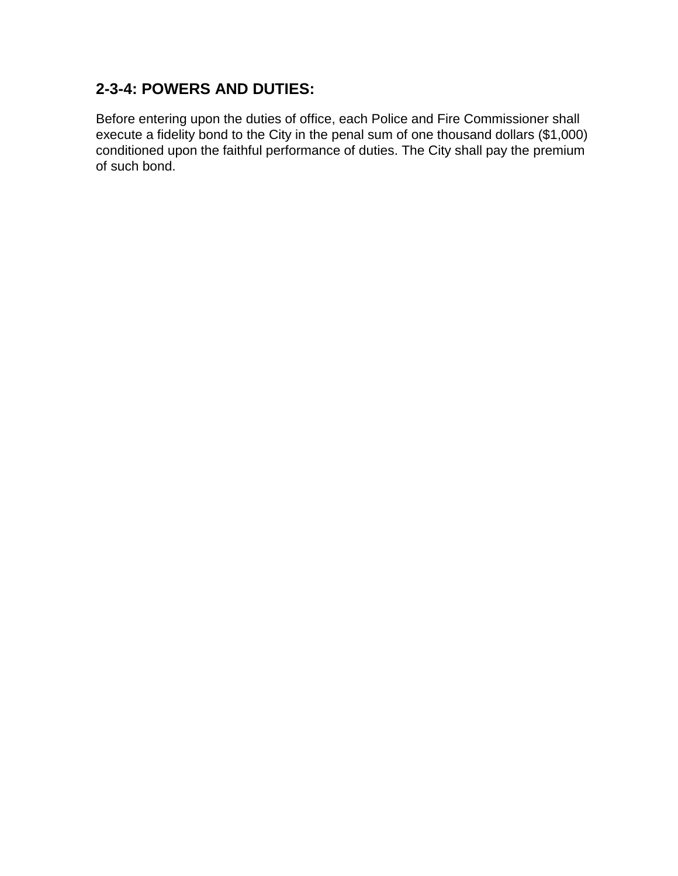### **2-3-4: POWERS AND DUTIES:**

Before entering upon the duties of office, each Police and Fire Commissioner shall execute a fidelity bond to the City in the penal sum of one thousand dollars (\$1,000) conditioned upon the faithful performance of duties. The City shall pay the premium of such bond.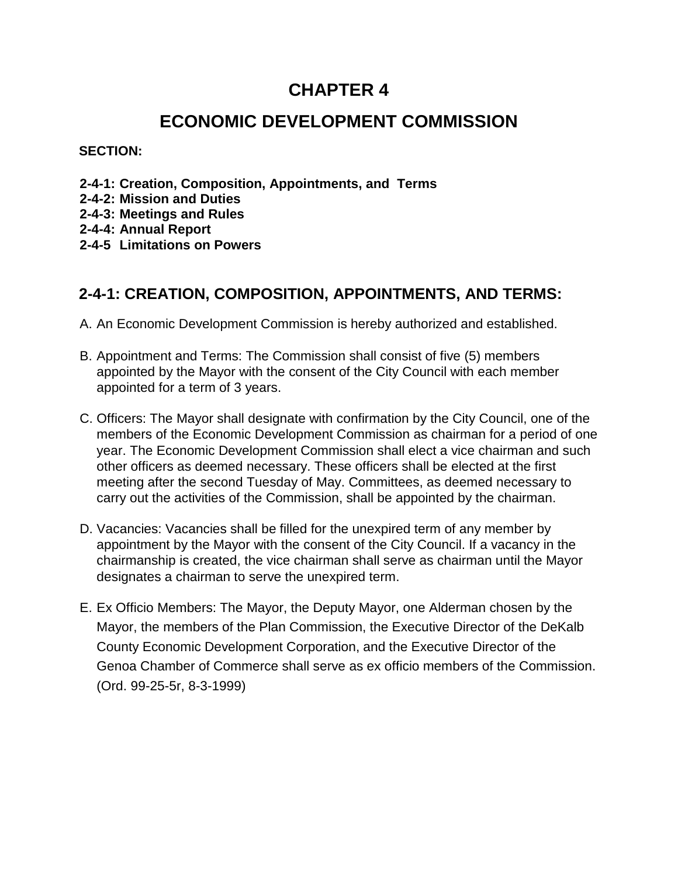# **ECONOMIC DEVELOPMENT COMMISSION**

**SECTION:** 

- **2-4-1: Creation, Composition, Appointments, and Terms**
- **2-4-2: Mission and Duties**
- **2-4-3: Meetings and Rules**
- **2-4-4: Annual Report**
- **2-4-5 Limitations on Powers**

### **2-4-1: CREATION, COMPOSITION, APPOINTMENTS, AND TERMS:**

- A. An Economic Development Commission is hereby authorized and established.
- B. Appointment and Terms: The Commission shall consist of five (5) members appointed by the Mayor with the consent of the City Council with each member appointed for a term of 3 years.
- C. Officers: The Mayor shall designate with confirmation by the City Council, one of the members of the Economic Development Commission as chairman for a period of one year. The Economic Development Commission shall elect a vice chairman and such other officers as deemed necessary. These officers shall be elected at the first meeting after the second Tuesday of May. Committees, as deemed necessary to carry out the activities of the Commission, shall be appointed by the chairman.
- D. Vacancies: Vacancies shall be filled for the unexpired term of any member by appointment by the Mayor with the consent of the City Council. If a vacancy in the chairmanship is created, the vice chairman shall serve as chairman until the Mayor designates a chairman to serve the unexpired term.
- E. Ex Officio Members: The Mayor, the Deputy Mayor, one Alderman chosen by the Mayor, the members of the Plan Commission, the Executive Director of the DeKalb County Economic Development Corporation, and the Executive Director of the Genoa Chamber of Commerce shall serve as ex officio members of the Commission. (Ord. 99-25-5r, 8-3-1999)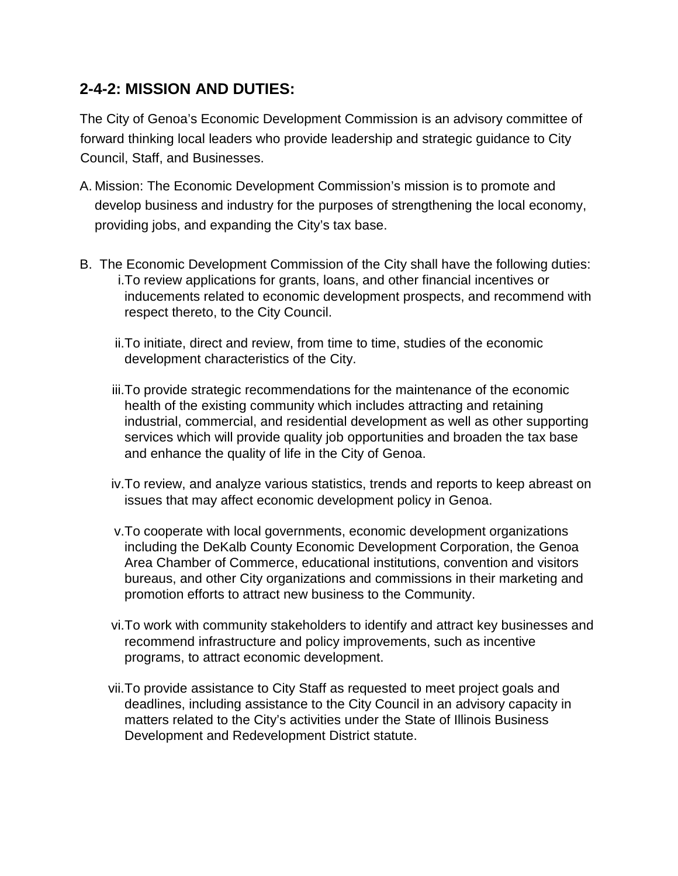### **2-4-2: MISSION AND DUTIES:**

The City of Genoa's Economic Development Commission is an advisory committee of forward thinking local leaders who provide leadership and strategic guidance to City Council, Staff, and Businesses.

- A. Mission: The Economic Development Commission's mission is to promote and develop business and industry for the purposes of strengthening the local economy, providing jobs, and expanding the City's tax base.
- B. The Economic Development Commission of the City shall have the following duties: i.To review applications for grants, loans, and other financial incentives or inducements related to economic development prospects, and recommend with respect thereto, to the City Council.
	- ii.To initiate, direct and review, from time to time, studies of the economic development characteristics of the City.
	- iii.To provide strategic recommendations for the maintenance of the economic health of the existing community which includes attracting and retaining industrial, commercial, and residential development as well as other supporting services which will provide quality job opportunities and broaden the tax base and enhance the quality of life in the City of Genoa.
	- iv.To review, and analyze various statistics, trends and reports to keep abreast on issues that may affect economic development policy in Genoa.
	- v.To cooperate with local governments, economic development organizations including the DeKalb County Economic Development Corporation, the Genoa Area Chamber of Commerce, educational institutions, convention and visitors bureaus, and other City organizations and commissions in their marketing and promotion efforts to attract new business to the Community.
	- vi.To work with community stakeholders to identify and attract key businesses and recommend infrastructure and policy improvements, such as incentive programs, to attract economic development.
	- vii.To provide assistance to City Staff as requested to meet project goals and deadlines, including assistance to the City Council in an advisory capacity in matters related to the City's activities under the State of Illinois Business Development and Redevelopment District statute.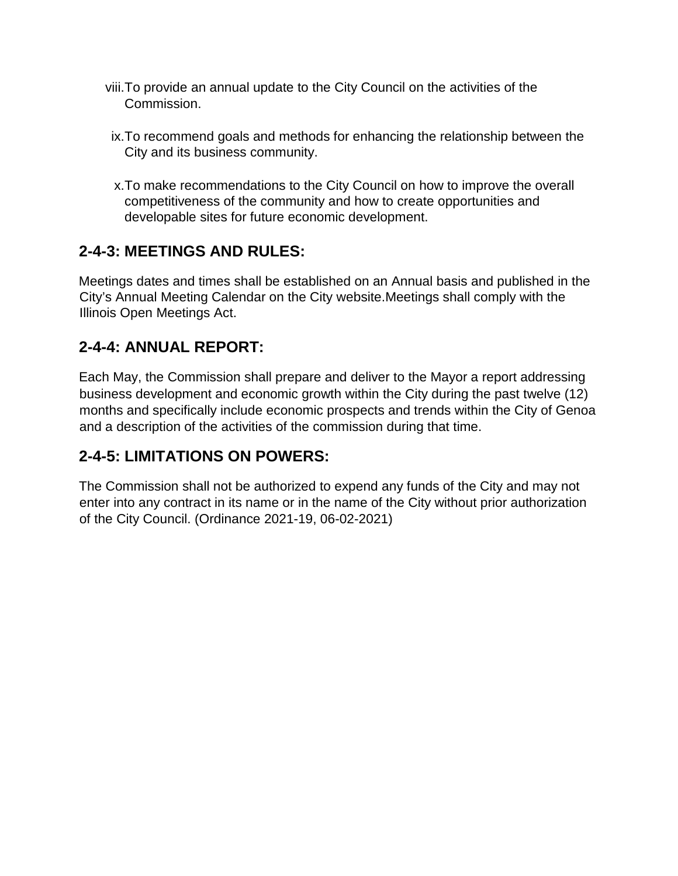- viii.To provide an annual update to the City Council on the activities of the Commission.
- ix.To recommend goals and methods for enhancing the relationship between the City and its business community.
- x.To make recommendations to the City Council on how to improve the overall competitiveness of the community and how to create opportunities and developable sites for future economic development.

# **2-4-3: MEETINGS AND RULES:**

Meetings dates and times shall be established on an Annual basis and published in the City's Annual Meeting Calendar on the City website.Meetings shall comply with the Illinois Open Meetings Act.

### **2-4-4: ANNUAL REPORT:**

Each May, the Commission shall prepare and deliver to the Mayor a report addressing business development and economic growth within the City during the past twelve (12) months and specifically include economic prospects and trends within the City of Genoa and a description of the activities of the commission during that time.

### **2-4-5: LIMITATIONS ON POWERS:**

The Commission shall not be authorized to expend any funds of the City and may not enter into any contract in its name or in the name of the City without prior authorization of the City Council. (Ordinance 2021-19, 06-02-2021)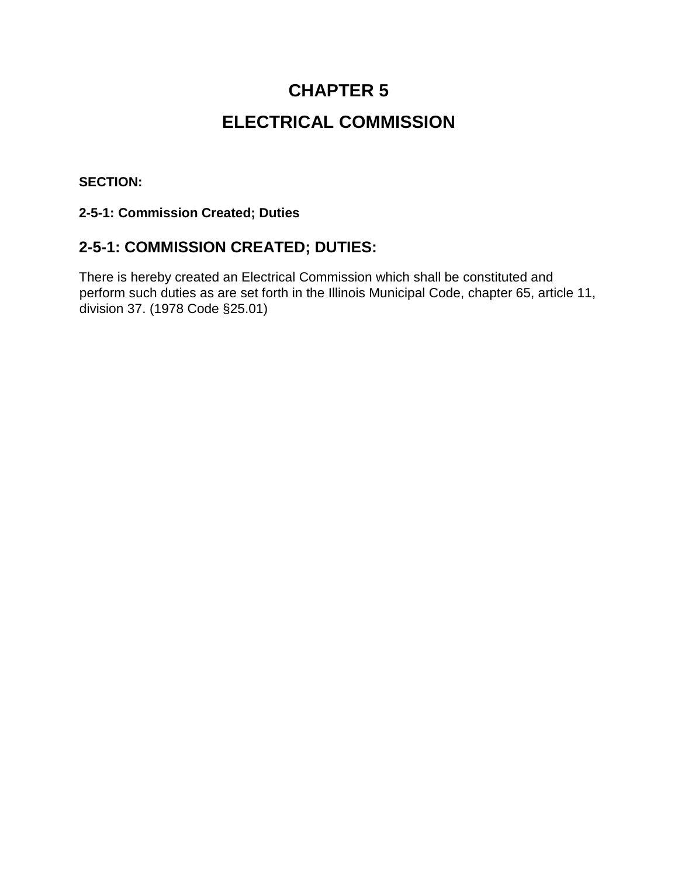# **CHAPTER 5 ELECTRICAL COMMISSION**

### **SECTION:**

#### **2-5-1: Commission Created; Duties**

### **2-5-1: COMMISSION CREATED; DUTIES:**

There is hereby created an Electrical Commission which shall be constituted and perform such duties as are set forth in the Illinois Municipal Code, chapter 65, article 11, division 37. (1978 Code §25.01)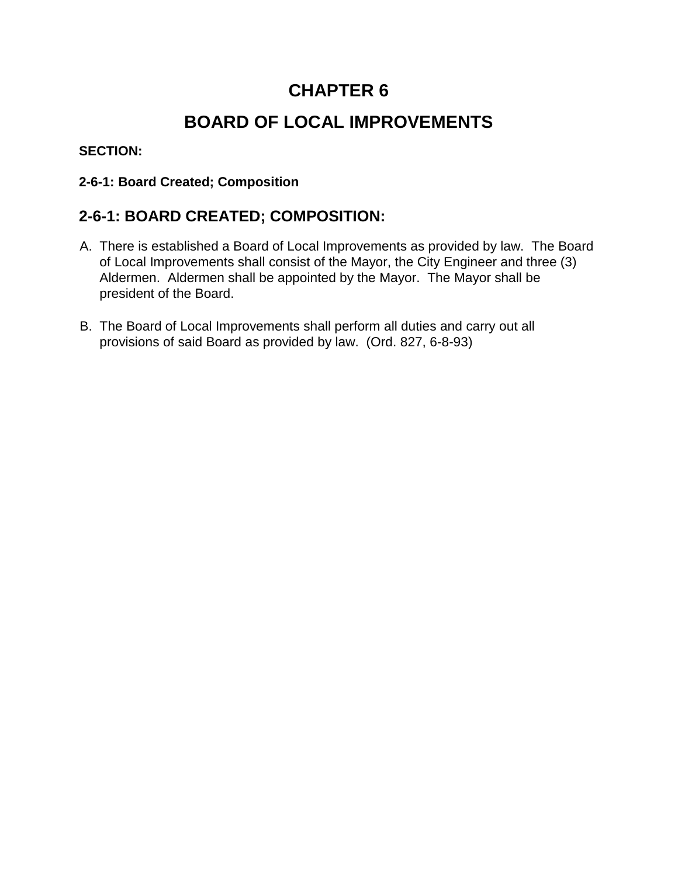# **BOARD OF LOCAL IMPROVEMENTS**

### **SECTION:**

### **2-6-1: Board Created; Composition**

### **2-6-1: BOARD CREATED; COMPOSITION:**

- A. There is established a Board of Local Improvements as provided by law. The Board of Local Improvements shall consist of the Mayor, the City Engineer and three (3) Aldermen. Aldermen shall be appointed by the Mayor. The Mayor shall be president of the Board.
- B. The Board of Local Improvements shall perform all duties and carry out all provisions of said Board as provided by law. (Ord. 827, 6-8-93)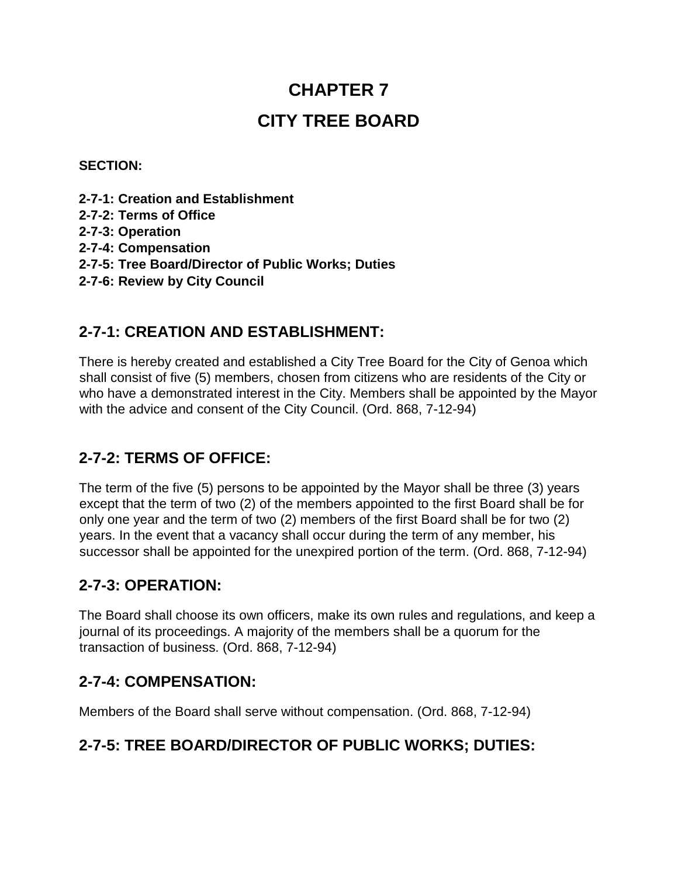# **CHAPTER 7 CITY TREE BOARD**

#### **SECTION:**

- **2-7-1: Creation and Establishment**
- **2-7-2: Terms of Office**
- **2-7-3: Operation**
- **2-7-4: Compensation**
- **2-7-5: Tree Board/Director of Public Works; Duties**
- **2-7-6: Review by City Council**

### **2-7-1: CREATION AND ESTABLISHMENT:**

There is hereby created and established a City Tree Board for the City of Genoa which shall consist of five (5) members, chosen from citizens who are residents of the City or who have a demonstrated interest in the City. Members shall be appointed by the Mayor with the advice and consent of the City Council. (Ord. 868, 7-12-94)

### **2-7-2: TERMS OF OFFICE:**

The term of the five (5) persons to be appointed by the Mayor shall be three (3) years except that the term of two (2) of the members appointed to the first Board shall be for only one year and the term of two (2) members of the first Board shall be for two (2) years. In the event that a vacancy shall occur during the term of any member, his successor shall be appointed for the unexpired portion of the term. (Ord. 868, 7-12-94)

### **2-7-3: OPERATION:**

The Board shall choose its own officers, make its own rules and regulations, and keep a journal of its proceedings. A majority of the members shall be a quorum for the transaction of business. (Ord. 868, 7-12-94)

### **2-7-4: COMPENSATION:**

Members of the Board shall serve without compensation. (Ord. 868, 7-12-94)

### **2-7-5: TREE BOARD/DIRECTOR OF PUBLIC WORKS; DUTIES:**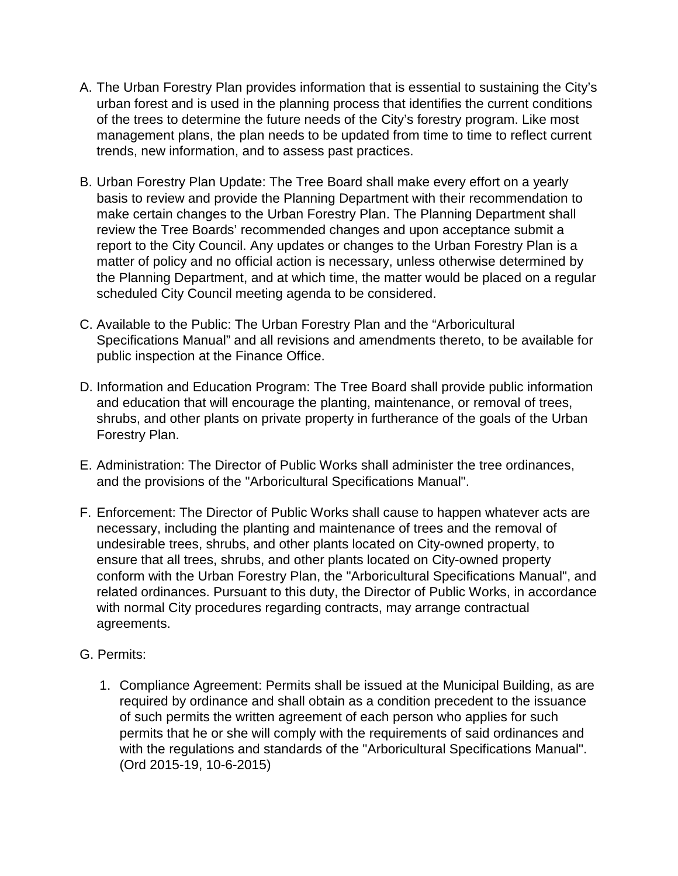- A. The Urban Forestry Plan provides information that is essential to sustaining the City's urban forest and is used in the planning process that identifies the current conditions of the trees to determine the future needs of the City's forestry program. Like most management plans, the plan needs to be updated from time to time to reflect current trends, new information, and to assess past practices.
- B. Urban Forestry Plan Update: The Tree Board shall make every effort on a yearly basis to review and provide the Planning Department with their recommendation to make certain changes to the Urban Forestry Plan. The Planning Department shall review the Tree Boards' recommended changes and upon acceptance submit a report to the City Council. Any updates or changes to the Urban Forestry Plan is a matter of policy and no official action is necessary, unless otherwise determined by the Planning Department, and at which time, the matter would be placed on a regular scheduled City Council meeting agenda to be considered.
- C. Available to the Public: The Urban Forestry Plan and the "Arboricultural Specifications Manual" and all revisions and amendments thereto, to be available for public inspection at the Finance Office.
- D. Information and Education Program: The Tree Board shall provide public information and education that will encourage the planting, maintenance, or removal of trees, shrubs, and other plants on private property in furtherance of the goals of the Urban Forestry Plan.
- E. Administration: The Director of Public Works shall administer the tree ordinances, and the provisions of the "Arboricultural Specifications Manual".
- F. Enforcement: The Director of Public Works shall cause to happen whatever acts are necessary, including the planting and maintenance of trees and the removal of undesirable trees, shrubs, and other plants located on City-owned property, to ensure that all trees, shrubs, and other plants located on City-owned property conform with the Urban Forestry Plan, the "Arboricultural Specifications Manual", and related ordinances. Pursuant to this duty, the Director of Public Works, in accordance with normal City procedures regarding contracts, may arrange contractual agreements.
- G. Permits:
	- 1. Compliance Agreement: Permits shall be issued at the Municipal Building, as are required by ordinance and shall obtain as a condition precedent to the issuance of such permits the written agreement of each person who applies for such permits that he or she will comply with the requirements of said ordinances and with the regulations and standards of the "Arboricultural Specifications Manual". (Ord 2015-19, 10-6-2015)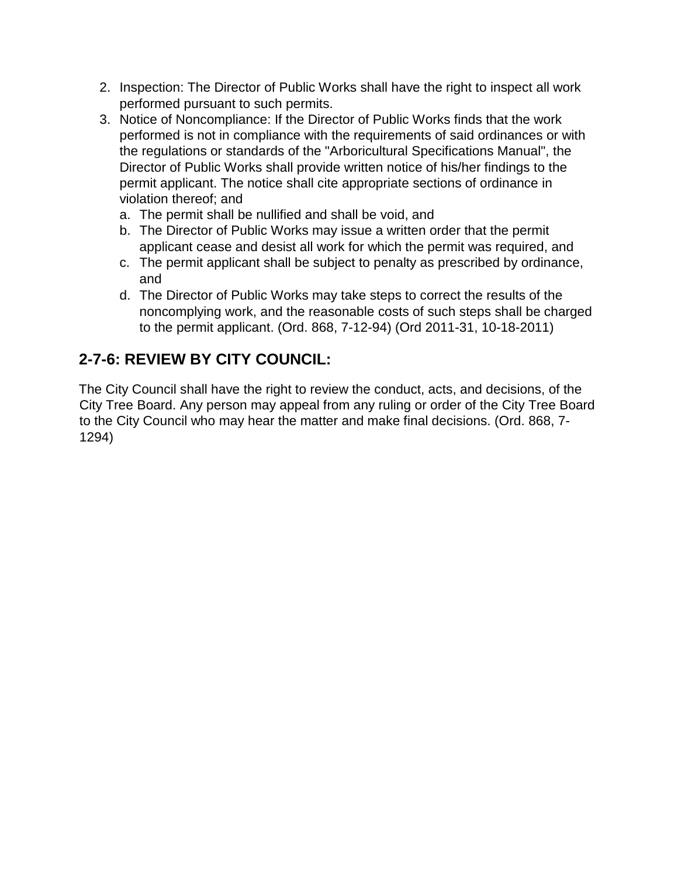- 2. Inspection: The Director of Public Works shall have the right to inspect all work performed pursuant to such permits.
- 3. Notice of Noncompliance: If the Director of Public Works finds that the work performed is not in compliance with the requirements of said ordinances or with the regulations or standards of the "Arboricultural Specifications Manual", the Director of Public Works shall provide written notice of his/her findings to the permit applicant. The notice shall cite appropriate sections of ordinance in violation thereof; and
	- a. The permit shall be nullified and shall be void, and
	- b. The Director of Public Works may issue a written order that the permit applicant cease and desist all work for which the permit was required, and
	- c. The permit applicant shall be subject to penalty as prescribed by ordinance, and
	- d. The Director of Public Works may take steps to correct the results of the noncomplying work, and the reasonable costs of such steps shall be charged to the permit applicant. (Ord. 868, 7-12-94) (Ord 2011-31, 10-18-2011)

# **2-7-6: REVIEW BY CITY COUNCIL:**

The City Council shall have the right to review the conduct, acts, and decisions, of the City Tree Board. Any person may appeal from any ruling or order of the City Tree Board to the City Council who may hear the matter and make final decisions. (Ord. 868, 7- 1294)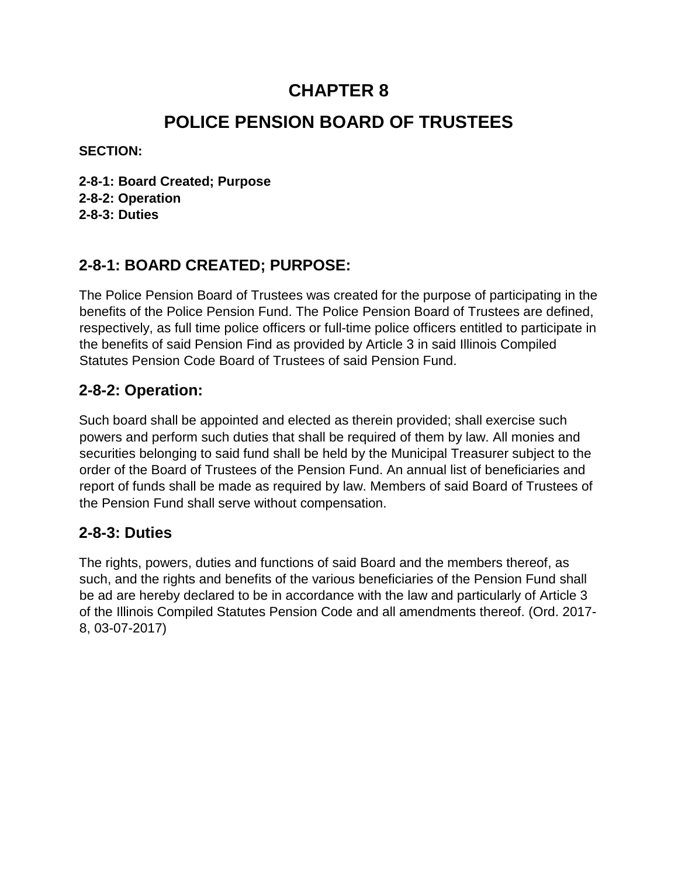# **POLICE PENSION BOARD OF TRUSTEES**

**SECTION:** 

**2-8-1: Board Created; Purpose 2-8-2: Operation 2-8-3: Duties**

### **2-8-1: BOARD CREATED; PURPOSE:**

The Police Pension Board of Trustees was created for the purpose of participating in the benefits of the Police Pension Fund. The Police Pension Board of Trustees are defined, respectively, as full time police officers or full-time police officers entitled to participate in the benefits of said Pension Find as provided by Article 3 in said Illinois Compiled Statutes Pension Code Board of Trustees of said Pension Fund.

### **2-8-2: Operation:**

Such board shall be appointed and elected as therein provided; shall exercise such powers and perform such duties that shall be required of them by law. All monies and securities belonging to said fund shall be held by the Municipal Treasurer subject to the order of the Board of Trustees of the Pension Fund. An annual list of beneficiaries and report of funds shall be made as required by law. Members of said Board of Trustees of the Pension Fund shall serve without compensation.

### **2-8-3: Duties**

The rights, powers, duties and functions of said Board and the members thereof, as such, and the rights and benefits of the various beneficiaries of the Pension Fund shall be ad are hereby declared to be in accordance with the law and particularly of Article 3 of the Illinois Compiled Statutes Pension Code and all amendments thereof. (Ord. 2017- 8, 03-07-2017)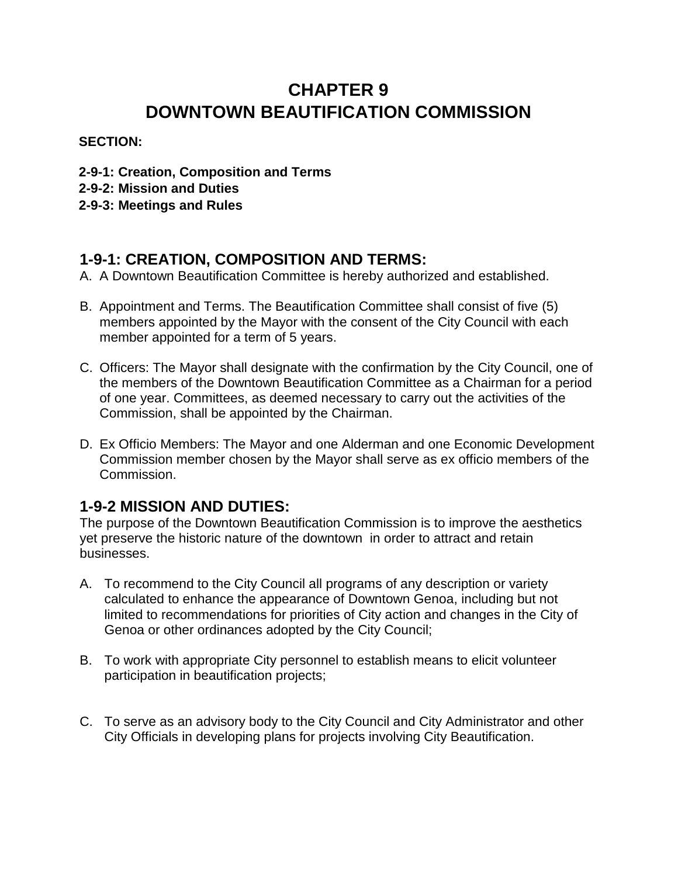# **CHAPTER 9 DOWNTOWN BEAUTIFICATION COMMISSION**

### **SECTION:**

- **2-9-1: Creation, Composition and Terms**
- **2-9-2: Mission and Duties**
- **2-9-3: Meetings and Rules**

### **1-9-1: CREATION, COMPOSITION AND TERMS:**

- A. A Downtown Beautification Committee is hereby authorized and established.
- B. Appointment and Terms. The Beautification Committee shall consist of five (5) members appointed by the Mayor with the consent of the City Council with each member appointed for a term of 5 years.
- C. Officers: The Mayor shall designate with the confirmation by the City Council, one of the members of the Downtown Beautification Committee as a Chairman for a period of one year. Committees, as deemed necessary to carry out the activities of the Commission, shall be appointed by the Chairman.
- D. Ex Officio Members: The Mayor and one Alderman and one Economic Development Commission member chosen by the Mayor shall serve as ex officio members of the Commission.

### **1-9-2 MISSION AND DUTIES:**

The purpose of the Downtown Beautification Commission is to improve the aesthetics yet preserve the historic nature of the downtown in order to attract and retain businesses.

- A. To recommend to the City Council all programs of any description or variety calculated to enhance the appearance of Downtown Genoa, including but not limited to recommendations for priorities of City action and changes in the City of Genoa or other ordinances adopted by the City Council;
- B. To work with appropriate City personnel to establish means to elicit volunteer participation in beautification projects;
- C. To serve as an advisory body to the City Council and City Administrator and other City Officials in developing plans for projects involving City Beautification.